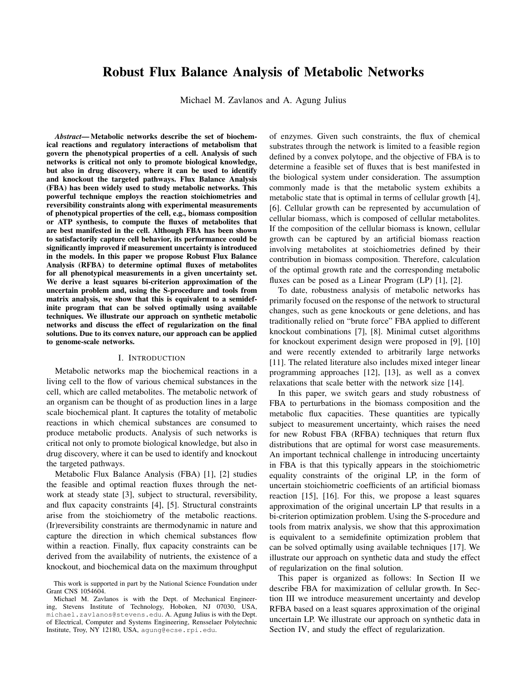# Robust Flux Balance Analysis of Metabolic Networks

Michael M. Zavlanos and A. Agung Julius

*Abstract*— Metabolic networks describe the set of biochemical reactions and regulatory interactions of metabolism that govern the phenotypical properties of a cell. Analysis of such networks is critical not only to promote biological knowledge, but also in drug discovery, where it can be used to identify and knockout the targeted pathways. Flux Balance Analysis (FBA) has been widely used to study metabolic networks. This powerful technique employs the reaction stoichiometries and reversibility constraints along with experimental measurements of phenotypical properties of the cell, e.g., biomass composition or ATP synthesis, to compute the fluxes of metabolites that are best manifested in the cell. Although FBA has been shown to satisfactorily capture cell behavior, its performance could be significantly improved if measurement uncertainty is introduced in the models. In this paper we propose Robust Flux Balance Analysis (RFBA) to determine optimal fluxes of metabolites for all phenotypical measurements in a given uncertainty set. We derive a least squares bi-criterion approximation of the uncertain problem and, using the S-procedure and tools from matrix analysis, we show that this is equivalent to a semidefinite program that can be solved optimally using available techniques. We illustrate our approach on synthetic metabolic networks and discuss the effect of regularization on the final solutions. Due to its convex nature, our approach can be applied to genome-scale networks.

## I. INTRODUCTION

Metabolic networks map the biochemical reactions in a living cell to the flow of various chemical substances in the cell, which are called metabolites. The metabolic network of an organism can be thought of as production lines in a large scale biochemical plant. It captures the totality of metabolic reactions in which chemical substances are consumed to produce metabolic products. Analysis of such networks is critical not only to promote biological knowledge, but also in drug discovery, where it can be used to identify and knockout the targeted pathways.

Metabolic Flux Balance Analysis (FBA) [1], [2] studies the feasible and optimal reaction fluxes through the network at steady state [3], subject to structural, reversibility, and flux capacity constraints [4], [5]. Structural constraints arise from the stoichiometry of the metabolic reactions. (Ir)reversibility constraints are thermodynamic in nature and capture the direction in which chemical substances flow within a reaction. Finally, flux capacity constraints can be derived from the availability of nutrients, the existence of a knockout, and biochemical data on the maximum throughput

of enzymes. Given such constraints, the flux of chemical substrates through the network is limited to a feasible region defined by a convex polytope, and the objective of FBA is to determine a feasible set of fluxes that is best manifested in the biological system under consideration. The assumption commonly made is that the metabolic system exhibits a metabolic state that is optimal in terms of cellular growth [4], [6]. Cellular growth can be represented by accumulation of cellular biomass, which is composed of cellular metabolites. If the composition of the cellular biomass is known, cellular growth can be captured by an artificial biomass reaction involving metabolites at stoichiometries defined by their contribution in biomass composition. Therefore, calculation of the optimal growth rate and the corresponding metabolic fluxes can be posed as a Linear Program (LP) [1], [2].

To date, robustness analysis of metabolic networks has primarily focused on the response of the network to structural changes, such as gene knockouts or gene deletions, and has traditionally relied on "brute force" FBA applied to different knockout combinations [7], [8]. Minimal cutset algorithms for knockout experiment design were proposed in [9], [10] and were recently extended to arbitrarily large networks [11]. The related literature also includes mixed integer linear programming approaches [12], [13], as well as a convex relaxations that scale better with the network size [14].

In this paper, we switch gears and study robustness of FBA to perturbations in the biomass composition and the metabolic flux capacities. These quantities are typically subject to measurement uncertainty, which raises the need for new Robust FBA (RFBA) techniques that return flux distributions that are optimal for worst case measurements. An important technical challenge in introducing uncertainty in FBA is that this typically appears in the stoichiometric equality constraints of the original LP, in the form of uncertain stoichiometric coefficients of an artificial biomass reaction [15], [16]. For this, we propose a least squares approximation of the original uncertain LP that results in a bi-criterion optimization problem. Using the S-procedure and tools from matrix analysis, we show that this approximation is equivalent to a semidefinite optimization problem that can be solved optimally using available techniques [17]. We illustrate our approach on synthetic data and study the effect of regularization on the final solution.

This paper is organized as follows: In Section II we describe FBA for maximization of cellular growth. In Section III we introduce measurement uncertainty and develop RFBA based on a least squares approximation of the original uncertain LP. We illustrate our approach on synthetic data in Section IV, and study the effect of regularization.

This work is supported in part by the National Science Foundation under Grant CNS 1054604.

Michael M. Zavlanos is with the Dept. of Mechanical Engineering, Stevens Institute of Technology, Hoboken, NJ 07030, USA, michael.zavlanos@stevens.edu. A. Agung Julius is with the Dept. of Electrical, Computer and Systems Engineering, Rensselaer Polytechnic Institute, Troy, NY 12180, USA, agung@ecse.rpi.edu.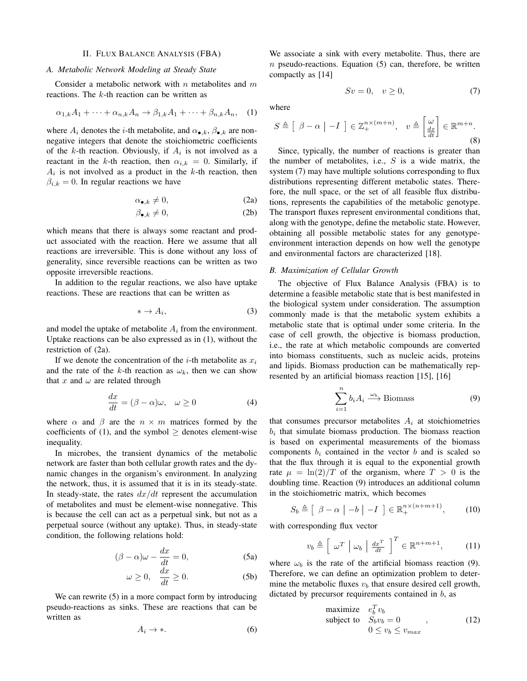## II. FLUX BALANCE ANALYSIS (FBA)

# *A. Metabolic Network Modeling at Steady State*

Consider a metabolic network with  $n$  metabolites and  $m$ reactions. The k-th reaction can be written as

$$
\alpha_{1,k}A_1 + \dots + \alpha_{n,k}A_n \to \beta_{1,k}A_1 + \dots + \beta_{n,k}A_n, \quad (1)
$$

where  $A_i$  denotes the *i*-th metabolite, and  $\alpha_{\bullet,k}$ ,  $\beta_{\bullet,k}$  are nonnegative integers that denote the stoichiometric coefficients of the k-th reaction. Obviously, if  $A_i$  is not involved as a reactant in the k-th reaction, then  $\alpha_{i,k} = 0$ . Similarly, if  $A_i$  is not involved as a product in the k-th reaction, then  $\beta_{i,k} = 0$ . In regular reactions we have

$$
\alpha_{\bullet,k} \neq 0,\tag{2a}
$$

$$
\beta_{\bullet,k} \neq 0,\tag{2b}
$$

which means that there is always some reactant and product associated with the reaction. Here we assume that all reactions are irreversible. This is done without any loss of generality, since reversible reactions can be written as two opposite irreversible reactions.

In addition to the regular reactions, we also have uptake reactions. These are reactions that can be written as

$$
* \to A_i,\tag{3}
$$

and model the uptake of metabolite  $A_i$  from the environment. Uptake reactions can be also expressed as in (1), without the restriction of (2a).

If we denote the concentration of the *i*-th metabolite as  $x_i$ and the rate of the k-th reaction as  $\omega_k$ , then we can show that x and  $\omega$  are related through

$$
\frac{dx}{dt} = (\beta - \alpha)\omega, \quad \omega \ge 0 \tag{4}
$$

where  $\alpha$  and  $\beta$  are the  $n \times m$  matrices formed by the coefficients of (1), and the symbol  $>$  denotes element-wise inequality.

In microbes, the transient dynamics of the metabolic network are faster than both cellular growth rates and the dynamic changes in the organism's environment. In analyzing the network, thus, it is assumed that it is in its steady-state. In steady-state, the rates  $dx/dt$  represent the accumulation of metabolites and must be element-wise nonnegative. This is because the cell can act as a perpetual sink, but not as a perpetual source (without any uptake). Thus, in steady-state condition, the following relations hold:

$$
(\beta - \alpha)\omega - \frac{dx}{dt} = 0,
$$
 (5a)

$$
\omega \ge 0, \quad \frac{dx}{dt} \ge 0. \tag{5b}
$$

We can rewrite  $(5)$  in a more compact form by introducing pseudo-reactions as sinks. These are reactions that can be written as

$$
A_i \to *.\t\t(6)
$$

We associate a sink with every metabolite. Thus, there are  $n$  pseudo-reactions. Equation (5) can, therefore, be written compactly as [14]

$$
Sv = 0, \quad v \ge 0,\tag{7}
$$

where

$$
S \triangleq \left[ \begin{array}{cc} \beta - \alpha \end{array} \Big| -I \right] \in \mathbb{Z}_{+}^{n \times (m+n)}, \quad v \triangleq \left[ \frac{\omega}{\frac{dx}{dt}} \right] \in \mathbb{R}^{m+n}.
$$
\n(8)

Since, typically, the number of reactions is greater than the number of metabolites, i.e.,  $S$  is a wide matrix, the system (7) may have multiple solutions corresponding to flux distributions representing different metabolic states. Therefore, the null space, or the set of all feasible flux distributions, represents the capabilities of the metabolic genotype. The transport fluxes represent environmental conditions that, along with the genotype, define the metabolic state. However, obtaining all possible metabolic states for any genotypeenvironment interaction depends on how well the genotype and environmental factors are characterized [18].

# *B. Maximization of Cellular Growth*

The objective of Flux Balance Analysis (FBA) is to determine a feasible metabolic state that is best manifested in the biological system under consideration. The assumption commonly made is that the metabolic system exhibits a metabolic state that is optimal under some criteria. In the case of cell growth, the objective is biomass production, i.e., the rate at which metabolic compounds are converted into biomass constituents, such as nucleic acids, proteins and lipids. Biomass production can be mathematically represented by an artificial biomass reaction [15], [16]

$$
\sum_{i=1}^{n} b_i A_i \xrightarrow{\omega_b} \text{Biomass} \tag{9}
$$

that consumes precursor metabolites  $A_i$  at stoichiometries  $b_i$  that simulate biomass production. The biomass reaction is based on experimental measurements of the biomass components  $b_i$  contained in the vector b and is scaled so that the flux through it is equal to the exponential growth rate  $\mu = \ln(2)/T$  of the organism, where  $T > 0$  is the doubling time. Reaction (9) introduces an additional column in the stoichiometric matrix, which becomes

$$
S_b \triangleq \left[ \begin{array}{c} \beta - \alpha \end{array} \left| \begin{array}{c} -b \end{array} \right| - I \right] \in \mathbb{R}_+^{n \times (n+m+1)},\tag{10}
$$

with corresponding flux vector

$$
v_b \triangleq \left[ \begin{array}{c} \omega^T \mid \omega_b \mid \frac{dx^T}{dt} \end{array} \right]^T \in \mathbb{R}^{n+m+1}, \quad (11)
$$

where  $\omega_b$  is the rate of the artificial biomass reaction (9). Therefore, we can define an optimization problem to determine the metabolic fluxes  $v<sub>b</sub>$  that ensure desired cell growth, dictated by precursor requirements contained in  $b$ , as

maximize 
$$
e_b^T v_b
$$
  
subject to  $S_b v_b = 0$ ,  
 $0 \le v_b \le v_{max}$ , (12)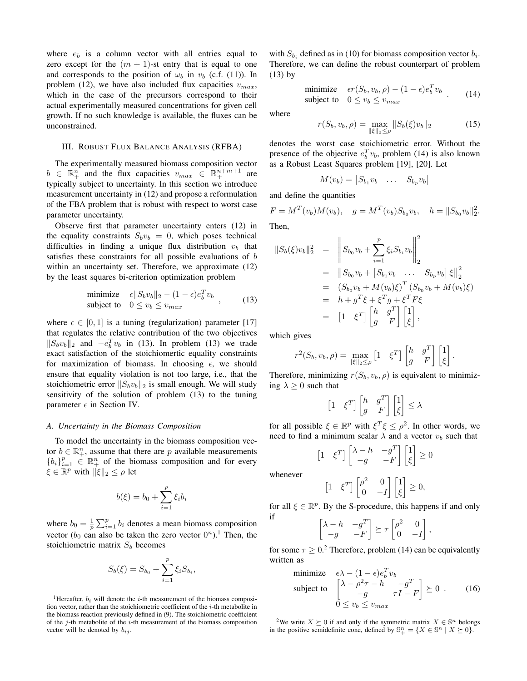where  $e_b$  is a column vector with all entries equal to zero except for the  $(m + 1)$ -st entry that is equal to one and corresponds to the position of  $\omega_b$  in  $v_b$  (c.f. (11)). In problem (12), we have also included flux capacities  $v_{max}$ , which in the case of the precursors correspond to their actual experimentally measured concentrations for given cell growth. If no such knowledge is available, the fluxes can be unconstrained.

#### III. ROBUST FLUX BALANCE ANALYSIS (RFBA)

The experimentally measured biomass composition vector  $b \in \mathbb{R}^n_+$  and the flux capacities  $v_{max} \in \mathbb{R}^{n+m+1}_+$  are typically subject to uncertainty. In this section we introduce measurement uncertainty in (12) and propose a reformulation of the FBA problem that is robust with respect to worst case parameter uncertainty.

Observe first that parameter uncertainty enters (12) in the equality constraints  $S_b v_b = 0$ , which poses technical difficulties in finding a unique flux distribution  $v_b$  that satisfies these constraints for all possible evaluations of b within an uncertainty set. Therefore, we approximate  $(12)$ by the least squares bi-criterion optimization problem

minimize 
$$
\epsilon ||S_b v_b||_2 - (1 - \epsilon)e_b^T v_b
$$
,  
subject to  $0 \le v_b \le v_{max}$ , (13)

where  $\epsilon \in [0, 1]$  is a tuning (regularization) parameter [17] that regulates the relative contribution of the two objectives  $||S_b v_b||_2$  and  $-e_b^T v_b$  in (13). In problem (13) we trade exact satisfaction of the stoichiomertic equality constraints for maximization of biomass. In choosing  $\epsilon$ , we should ensure that equality violation is not too large, i.e., that the stoichiometric error  $||S_b v_b||_2$  is small enough. We will study sensitivity of the solution of problem (13) to the tuning parameter  $\epsilon$  in Section IV.

#### *A. Uncertainty in the Biomass Composition*

To model the uncertainty in the biomass composition vector  $b \in \mathbb{R}^n_+$ , assume that there are p available measurements  ${b_i}_{i=1}^p \in \mathbb{R}_+^n$  of the biomass composition and for every  $\xi \in \mathbb{R}^p$  with  $\|\xi\|_2 \leq \rho$  let

$$
b(\xi) = b_0 + \sum_{i=1}^p \xi_i b_i
$$

where  $b_0 = \frac{1}{p} \sum_{i=1}^p b_i$  denotes a mean biomass composition vector  $(b_0 \text{ can also be taken the zero vector } 0^n)$ .<sup>1</sup> Then, the stoichiometric matrix  $S_b$  becomes

$$
S_b(\xi) = S_{b_0} + \sum_{i=1}^p \xi_i S_{b_i},
$$

<sup>1</sup>Hereafter,  $b_i$  will denote the *i*-th measurement of the biomass composition vector, rather than the stoichiometric coefficient of the  $i$ -th metabolite in the biomass reaction previously defined in (9). The stoichiometric coefficient of the  $j$ -th metabolite of the  $i$ -th measurement of the biomass composition vector will be denoted by  $b_{ij}$ .

with  $S_{b_i}$  defined as in (10) for biomass composition vector  $b_i$ . Therefore, we can define the robust counterpart of problem (13) by

minimize 
$$
\epsilon r(S_b, v_b, \rho) - (1 - \epsilon) e_b^T v_b
$$
  
subject to  $0 \le v_b \le v_{max}$  (14)

where

$$
r(S_b, v_b, \rho) = \max_{\|\xi\|_2 \le \rho} \|S_b(\xi)v_b\|_2
$$
 (15)

denotes the worst case stoichiometric error. Without the presence of the objective  $e_b^T v_b$ , problem (14) is also known as a Robust Least Squares problem [19], [20]. Let

$$
M(v_b) = \begin{bmatrix} S_{b_1} v_b & \dots & S_{b_p} v_b \end{bmatrix}
$$

and define the quantities

 $F = M^T(v_b)M(v_b), \quad g = M^T(v_b)S_{b_0}v_b, \quad h = ||S_{b_0}v_b||_2^2.$ Then,

$$
||S_b(\xi)v_b||_2^2 = \left\| S_{b_0}v_b + \sum_{i=1}^p \xi_i S_{b_i}v_b \right\|_2^2
$$
  
\n
$$
= ||S_{b_0}v_b + [S_{b_1}v_b \dots S_{b_p}v_b] \xi||_2^2
$$
  
\n
$$
= (S_{b_0}v_b + M(v_b)\xi)^T (S_{b_0}v_b + M(v_b)\xi)
$$
  
\n
$$
= h + g^T \xi + \xi^T g + \xi^T F \xi
$$
  
\n
$$
= [1 \xi^T] \begin{bmatrix} h & g^T \\ g & F \end{bmatrix} \begin{bmatrix} 1 \\ \xi \end{bmatrix},
$$

which gives

$$
r^{2}(S_{b}, v_{b}, \rho) = \max_{\|\xi\|_{2} \leq \rho} \left[1 \quad \xi^{T}\right] \begin{bmatrix} h & g^{T} \\ g & F \end{bmatrix} \begin{bmatrix} 1 \\ \xi \end{bmatrix}.
$$

Therefore, minimizing  $r(S_b, v_b, \rho)$  is equivalent to minimizing  $\lambda > 0$  such that

$$
\begin{bmatrix} 1 & \xi^T \end{bmatrix} \begin{bmatrix} h & g^T \\ g & F \end{bmatrix} \begin{bmatrix} 1 \\ \xi \end{bmatrix} \le \lambda
$$

for all possible  $\xi \in \mathbb{R}^p$  with  $\xi^T \xi \le \rho^2$ . In other words, we need to find a minimum scalar  $\lambda$  and a vector  $v_b$  such that

$$
\begin{bmatrix} 1 & \xi^T \end{bmatrix} \begin{bmatrix} \lambda - h & -g^T \\ -g & -F \end{bmatrix} \begin{bmatrix} 1 \\ \xi \end{bmatrix} \ge 0
$$

whenever

 $\sqrt{2}$ 

$$
1 \quad \xi^T \Big] \begin{bmatrix} \rho^2 & 0 \\ 0 & -I \end{bmatrix} \begin{bmatrix} 1 \\ \xi \end{bmatrix} \ge 0,
$$

for all  $\xi \in \mathbb{R}^p$ . By the S-procedure, this happens if and only if  $\lceil$ 

$$
\begin{bmatrix} \lambda - h & -g^T \\ -g & -F \end{bmatrix} \succeq \tau \begin{bmatrix} \rho^2 & 0 \\ 0 & -I \end{bmatrix},
$$

for some  $\tau \geq 0.2$  Therefore, problem (14) can be equivalently written as

minimize 
$$
\epsilon \lambda - (1 - \epsilon)e_b^T v_b
$$
  
\nsubject to 
$$
\begin{bmatrix} \lambda - \rho^2 \tau - h & -g^T \\ -g & \tau I - F \end{bmatrix} \succeq 0.
$$
 (16)  
\n $0 \le v_b \le v_{max}$ 

<sup>2</sup>We write  $X \succeq 0$  if and only if the symmetric matrix  $X \in \mathbb{S}^n$  belongs in the positive semidefinite cone, defined by  $\mathbb{S}^n_+ = \{X \in \mathbb{S}^n \mid X \succeq 0\}.$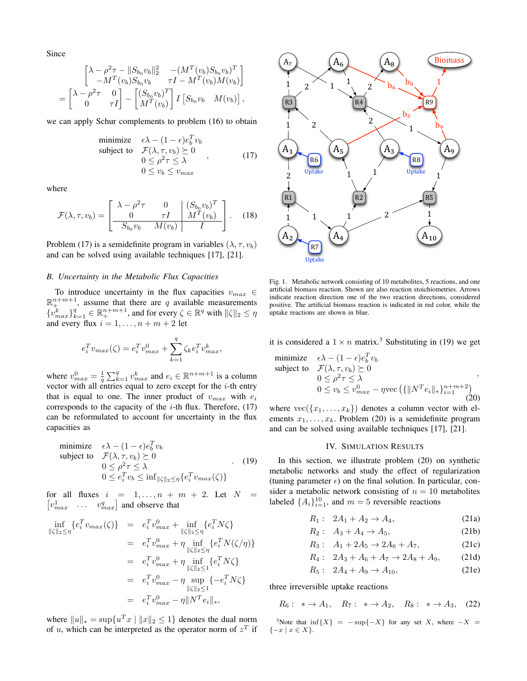Since

$$
\begin{bmatrix}\n\lambda - \rho^2 \tau - ||S_{b_0} v_b||_2^2 & -(M^T(v_b) S_{b_0} v_b)^T \\
-M^T(v_b) S_{b_0} v_b & \tau I - M^T(v_b) M(v_b)\n\end{bmatrix} = \begin{bmatrix}\n\lambda - \rho^2 \tau & 0 \\
0 & \tau I\n\end{bmatrix} - \begin{bmatrix}\n(S_{b_0} v_b)^T \\
M^T(v_b)\n\end{bmatrix} I \begin{bmatrix}\nS_{b_0} v_b & M(v_b)\n\end{bmatrix},
$$

we can apply Schur complements to problem (16) to obtain

minimize 
$$
\epsilon \lambda - (1 - \epsilon)e_b^T v_b
$$
  
\nsubject to  $\mathcal{F}(\lambda, \tau, v_b) \succeq 0$   
\n $0 \le \rho^2 \tau \le \lambda$   
\n $0 \le v_b \le v_{max}$  (17)

where

$$
\mathcal{F}(\lambda, \tau, v_b) = \begin{bmatrix} \lambda - \rho^2 \tau & 0 & (S_{b_0} v_b)^T \\ 0 & \tau I & M^T(v_b) \\ \hline S_{b_0} v_b & M(v_b) & I \end{bmatrix}.
$$
 (18)

Problem (17) is a semidefinite program in variables  $(\lambda, \tau, v_b)$ and can be solved using available techniques [17], [21].

#### *B. Uncertainty in the Metabolic Flux Capacities*

To introduce uncertainty in the flux capacities  $v_{max} \in$  $\mathbb{R}^{n+m+1}_+$ , assume that there are q available measurements  $\{v_{max}^k\}_{k=1}^q \in \mathbb{R}_+^{n+m+1}$ , and for every  $\zeta \in \mathbb{R}^q$  with  $\|\zeta\|_2 \leq \eta$ and every flux  $i = 1, \ldots, n + m + 2$  let

$$
e_i^T v_{max}(\zeta) = e_i^T v_{max}^0 + \sum_{k=1}^q \zeta_k e_i^T v_{max}^k,
$$

where  $v_{max}^0 = \frac{1}{q} \sum_{k=1}^q v_{max}^k$  and  $e_i \in \mathbb{R}^{n+m+1}$  is a column vector with all entries equal to zero except for the  $i$ -th entry that is equal to one. The inner product of  $v_{max}$  with  $e_i$ corresponds to the capacity of the  $i$ -th flux. Therefore,  $(17)$ can be reformulated to account for uncertainty in the flux capacities as

minimize 
$$
\epsilon \lambda - (1 - \epsilon)e_b^T v_b
$$
  
\nsubject to  $\mathcal{F}(\lambda, \tau, v_b) \succeq 0$   
\n $0 \le \rho^2 \tau \le \lambda$   
\n $0 \le e_i^T v_b \le \inf_{\|\zeta\|_2 \le \eta} \{e_i^T v_{max}(\zeta)\}$  (19)

for all fluxes  $i = 1, \ldots, n + m + 2$ . Let  $N =$  $\begin{bmatrix} v_{max}^1 & \dots & v_{max}^q \end{bmatrix}$  and observe that

$$
\inf_{\|\zeta\|_2 \leq \eta} \{e_i^T v_{max}(\zeta)\} = e_i^T v_{max}^0 + \inf_{\|\zeta\|_2 \leq \eta} \{e_i^T N \zeta\} \n= e_i^T v_{max}^0 + \eta \inf_{\|\zeta\|_2 \leq \eta} \{e_i^T N(\zeta/\eta)\} \n= e_i^T v_{max}^0 + \eta \inf_{\|\zeta\|_2 \leq 1} \{e_i^T N \zeta\} \n= e_i^T v_{max}^0 - \eta \sup_{\|\zeta\|_2 \leq 1} \{-e_i^T N \zeta\} \n= e_i^T v_{max}^0 - \eta \|N^T e_i\|_*,
$$

where  $||u||_* = \sup\{u^T x \mid ||x||_2 \leq 1\}$  denotes the dual norm of *u*, which can be interpreted as the operator norm of  $z<sup>T</sup>$  if



Fig. 1. Metabolic network consisting of 10 metabolites, 5 reactions, and one artificial biomass reaction. Shown are also reaction stoichiometries. Arrows indicate reaction direction one of the two reaction directions, considered positive. The artificial biomass reaction is indicated in red color, while the uptake reactions are shown in blue.

it is considered a  $1 \times n$  matrix.<sup>3</sup> Substituting in (19) we get

minimize 
$$
\epsilon \lambda - (1 - \epsilon)e_b^T v_b
$$
  
\nsubject to  $\mathcal{F}(\lambda, \tau, v_b) \succeq 0$   
\n $0 \le \rho^2 \tau \le \lambda$   
\n $0 \le v_b \le v_{max}^0 - \eta \text{vec} (\{\|N^T e_i\|_{*}\}_{i=1}^{n+m+2})$  (20)

where  $\text{vec}(\{x_1, \ldots, x_k\})$  denotes a column vector with elements  $x_1, \ldots, x_k$ . Problem (20) is a semidefinite program and can be solved using available techniques [17], [21].

#### IV. SIMULATION RESULTS

In this section, we illustrate problem (20) on synthetic metabolic networks and study the effect of regularization (tuning parameter  $\epsilon$ ) on the final solution. In particular, consider a metabolic network consisting of  $n = 10$  metabolites labeled  $\{A_i\}_{i=1}^{10}$ , and  $m=5$  reversible reactions

$$
R_1: \ \ 2A_1 + A_2 \to A_4,\tag{21a}
$$

$$
R_2: A_3 + A_4 \to A_5, \t(21b)
$$

$$
R_3: A_1 + 2A_5 \to 2A_6 + A_7, \tag{21c}
$$

$$
R_4: \ \ 2A_3 + A_6 + A_7 \to 2A_8 + A_9,\tag{21d}
$$

$$
R_5: \ \ 2A_4 + A_9 \to A_{10}, \ \ (21e)
$$

three irreversible uptake reactions

 $R_6: * \to A_1, R_7: * \to A_2, R_8: * \to A_3, (22)$ 

<sup>3</sup>Note that inf $\{X\}$  = − sup $\{-X\}$  for any set X, where − X =  $\{-x \mid x \in X\}.$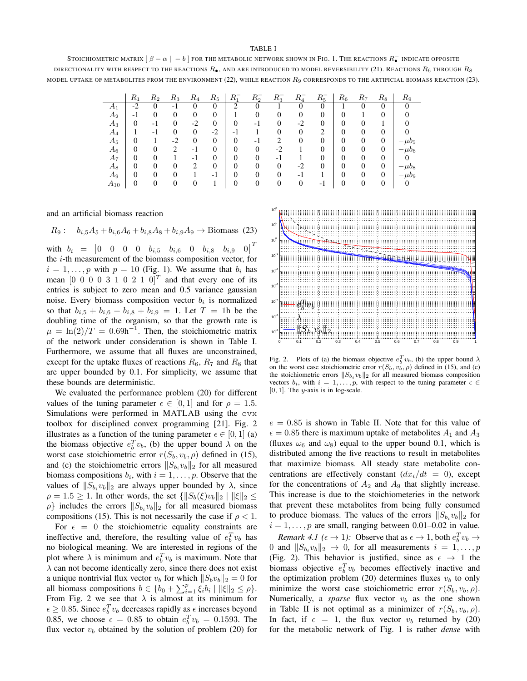## TABLE I

STOICHIOMETRIC MATRIX  $[~\beta-\alpha~|~-b~]$  for the metabolic network shown in Fig. 1. The reactions  $R^-_\bullet$  indicate opposite DIRECTIONALITY WITH RESPECT TO THE REACTIONS  $R_{\bullet}$ , AND ARE INTRODUCED TO MODEL REVERSIBILITY (21). REACTIONS  $R_6$  through  $R_8$ MODEL UPTAKE OF METABOLITES FROM THE ENVIRONMENT (22), WHILE REACTION  $R_9$  CORRESPONDS TO THE ARTIFICIAL BIOMASS REACTION (23).

|          | $R_1$ | $R_{2}$        | $R_3$    | $R_{4}$      | $R_5$    | $R_1^-$        | $R_2^-$        | $R_3^-$  | $R_4^-$ | $R_5^-$        | $R_{\rm 6}$    | $R_7$ | $R_{8}$        | $_{R_9}$   |
|----------|-------|----------------|----------|--------------|----------|----------------|----------------|----------|---------|----------------|----------------|-------|----------------|------------|
| A1       | $-2$  | 0              | - 1      | 0            | 0        | ↑              |                |          | 0       | 0              |                |       | 0              |            |
| $A_2$    | -1    | $\overline{0}$ | $\theta$ | 0            | $\theta$ |                |                | 0        | 0       | 0              | 0              |       | 0              |            |
| $A_3$    | 0     | -1             | $\theta$ | $-2$         | $\theta$ | 0              | -1             | $\Omega$ | -2      | $\theta$       | 0              |       |                |            |
| $A_4$    |       | $-1$           | $\theta$ | $\mathbf{0}$ | $-2$     | - I            |                | 0        | 0       | 2              | 0              | 0     | 0              |            |
| $A_5$    | 0     |                | $-2$     | 0            | $\theta$ | $\overline{0}$ | $-1$           | ∍        | 0       | $\theta$       | $\theta$       | 0     | $\overline{0}$ | $-\mu b_5$ |
| $A_6$    | 0     | $\overline{0}$ | ∍        | $-1$         | $\theta$ | 0              | $\overline{0}$ | $-2$     |         | 0              | 0              |       | $\overline{0}$ | $-\mu b_6$ |
| A7       | 0     | 0              |          | - 1          | $\theta$ | 0              | 0              | -1       |         | 0              | 0              | 0     | 0              |            |
| A8       | 0     | $\overline{0}$ | $\Omega$ | 2            | $\theta$ | 0              | $\overline{0}$ | $\theta$ | $-2$    | $\overline{0}$ | $\overline{0}$ | 0     | $\overline{0}$ | $-\mu b_8$ |
| $A_9$    | 0     | $\overline{0}$ | $\theta$ |              | -1       | 0              | $\overline{0}$ | 0        | $-1$    |                | 0              | 0     | $\overline{0}$ | $-\mu b_9$ |
| $A_{10}$ | 0     | 0              | $\theta$ | 0            |          | $\overline{0}$ | $\overline{0}$ | $\theta$ | 0       | - 1            | $\theta$       | 0     | $\Omega$       | O          |

and an artificial biomass reaction

$$
R_9: \quad b_{i,5}A_5 + b_{i,6}A_6 + b_{i,8}A_8 + b_{i,9}A_9 \to \text{Biomass (23)}
$$

with  $b_i = \begin{bmatrix} 0 & 0 & 0 & 0 & b_{i,5} & b_{i,6} & 0 & b_{i,8} & b_{i,9} & 0 \end{bmatrix}^T$ the i-th measurement of the biomass composition vector, for  $i = 1, \ldots, p$  with  $p = 10$  (Fig. 1). We assume that  $b_i$  has mean  $[0\ 0\ 0\ 0\ 3\ 1\ 0\ 2\ 1\ 0]^T$  and that every one of its entries is subject to zero mean and 0.5 variance gaussian noise. Every biomass composition vector  $b_i$  is normalized so that  $b_{i,5} + b_{i,6} + b_{i,8} + b_{i,9} = 1$ . Let  $T = 1$ h be the doubling time of the organism, so that the growth rate is  $\mu = \ln(2)/T = 0.69h^{-1}$ . Then, the stoichiometric matrix of the network under consideration is shown in Table I. Furthermore, we assume that all fluxes are unconstrained, except for the uptake fluxes of reactions  $R_6$ ,  $R_7$  and  $R_8$  that are upper bounded by 0.1. For simplicity, we assume that these bounds are deterministic.

We evaluated the performance problem (20) for different values of the tuning parameter  $\epsilon \in [0, 1]$  and for  $\rho = 1.5$ . Simulations were performed in MATLAB using the cvx toolbox for disciplined convex programming [21]. Fig. 2 illustrates as a function of the tuning parameter  $\epsilon \in [0, 1]$  (a) the biomass objective  $e_b^T v_b$ , (b) the upper bound  $\lambda$  on the worst case stoichiometric error  $r(S_b, v_b, \rho)$  defined in (15), and (c) the stoichiometric errors  $||S_{b_i}v_b||_2$  for all measured biomass compositions  $b_i$ , with  $i = 1, \ldots, p$ . Observe that the values of  $||S_{b_i}v_b||_2$  are always upper bounded by  $\lambda$ , since  $\rho = 1.5 \geq 1$ . In other words, the set  $\{\Vert S_b(\xi)v_b\Vert_2 \mid \Vert \xi\Vert_2 \leq$  $\rho$ } includes the errors  $||S_{b_i}v_b||_2$  for all measured biomass compositions (15). This is not necessarily the case if  $\rho < 1$ .

For  $\epsilon = 0$  the stoichiometric equality constraints are ineffective and, therefore, the resulting value of  $e_b^T v_b$  has no biological meaning. We are interested in regions of the plot where  $\lambda$  is minimum and  $e_b^T v_b$  is maximum. Note that  $\lambda$  can not become identically zero, since there does not exist a unique nontrivial flux vector  $v_b$  for which  $||S_b v_b||_2 = 0$  for all biomass compositions  $b \in \{b_0 + \sum_{i=1}^p \xi_i b_i \mid ||\xi||_2 \leq \rho\}.$ From Fig. 2 we see that  $\lambda$  is almost at its minimum for  $\epsilon \geq 0.85$ . Since  $e_b^T v_b$  decreases rapidly as  $\epsilon$  increases beyond 0.85, we choose  $\epsilon = 0.85$  to obtain  $e_b^T v_b = 0.1593$ . The flux vector  $v_b$  obtained by the solution of problem (20) for



Fig. 2. Plots of (a) the biomass objective  $e_b^T v_b$ , (b) the upper bound  $\lambda$ on the worst case stoichiometric error  $r(S_b, v_b, \rho)$  defined in (15), and (c) the stoichiometric errors  $||S_{b_i} v_b||_2$  for all measured biomass composition vectors  $b_i$ , with  $i = 1, \ldots, p$ , with respect to the tuning parameter  $\epsilon \in \epsilon$  $[0, 1]$ . The *y*-axis is in log-scale.

 $e = 0.85$  is shown in Table II. Note that for this value of  $\epsilon = 0.85$  there is maximum uptake of metabolites  $A_1$  and  $A_3$ (fluxes  $\omega_6$  and  $\omega_8$ ) equal to the upper bound 0.1, which is distributed among the five reactions to result in metabolites that maximize biomass. All steady state metabolite concentrations are effectively constant  $\frac{dx_i}{dt} = 0$ , except for the concentrations of  $A_2$  and  $A_9$  that slightly increase. This increase is due to the stoichiometeries in the network that prevent these metabolites from being fully consumed to produce biomass. The values of the errors  $||S_{b_i}v_b||_2$  for  $i = 1, \ldots, p$  are small, ranging between 0.01–0.02 in value.

*Remark 4.1* ( $\epsilon \to 1$ ): Observe that as  $\epsilon \to 1$ , both  $e_b^T v_b \to$ 0 and  $||S_{b_i}v_b||_2 \rightarrow 0$ , for all measurements  $i = 1, ..., p$ (Fig. 2). This behavior is justified, since as  $\epsilon \rightarrow 1$  the biomass objective  $e_b^T v_b$  becomes effectively inactive and the optimization problem (20) determines fluxes  $v<sub>b</sub>$  to only minimize the worst case stoichiometric error  $r(S_b, v_b, \rho)$ . Numerically, a *sparse* flux vector  $v_b$  as the one shown in Table II is not optimal as a minimizer of  $r(S_b, v_b, \rho)$ . In fact, if  $\epsilon = 1$ , the flux vector  $v_b$  returned by (20) for the metabolic network of Fig. 1 is rather *dense* with